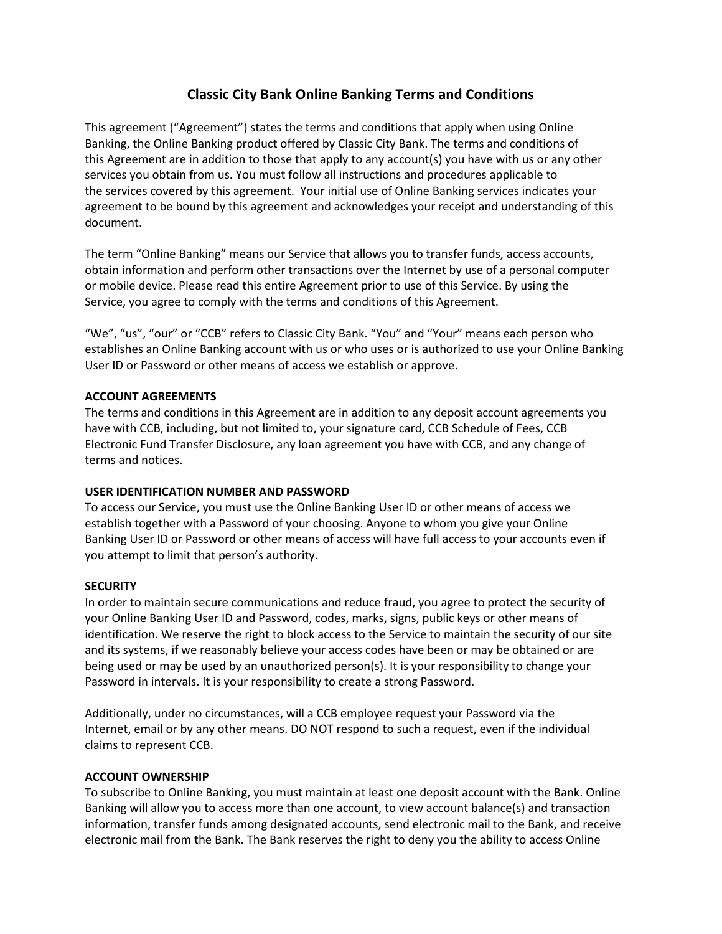# **Classic City Bank Online Banking Terms and Conditions**

This agreement ("Agreement") states the terms and conditions that apply when using Online Banking, the Online Banking product offered by Classic City Bank. The terms and conditions of this Agreement are in addition to those that apply to any account(s) you have with us or any other services you obtain from us. You must follow all instructions and procedures applicable to the services covered by this agreement. Your initial use of Online Banking services indicates your agreement to be bound by this agreement and acknowledges your receipt and understanding of this document.

The term "Online Banking" means our Service that allows you to transfer funds, access accounts, obtain information and perform other transactions over the Internet by use of a personal computer or mobile device. Please read this entire Agreement prior to use of this Service. By using the Service, you agree to comply with the terms and conditions of this Agreement.

"We", "us", "our" or "CCB" refers to Classic City Bank. "You" and "Your" means each person who establishes an Online Banking account with us or who uses or is authorized to use your Online Banking User ID or Password or other means of access we establish or approve.

## **ACCOUNT AGREEMENTS**

The terms and conditions in this Agreement are in addition to any deposit account agreements you have with CCB, including, but not limited to, your signature card, CCB Schedule of Fees, CCB Electronic Fund Transfer Disclosure, any loan agreement you have with CCB, and any change of terms and notices.

## **USER IDENTIFICATION NUMBER AND PASSWORD**

To access our Service, you must use the Online Banking User ID or other means of access we establish together with a Password of your choosing. Anyone to whom you give your Online Banking User ID or Password or other means of access will have full access to your accounts even if you attempt to limit that person's authority.

## **SECURITY**

In order to maintain secure communications and reduce fraud, you agree to protect the security of your Online Banking User ID and Password, codes, marks, signs, public keys or other means of identification. We reserve the right to block access to the Service to maintain the security of our site and its systems, if we reasonably believe your access codes have been or may be obtained or are being used or may be used by an unauthorized person(s). It is your responsibility to change your Password in intervals. It is your responsibility to create a strong Password.

Additionally, under no circumstances, will a CCB employee request your Password via the Internet, email or by any other means. DO NOT respond to such a request, even if the individual claims to represent CCB.

## **ACCOUNT OWNERSHIP**

To subscribe to Online Banking, you must maintain at least one deposit account with the Bank. Online Banking will allow you to access more than one account, to view account balance(s) and transaction information, transfer funds among designated accounts, send electronic mail to the Bank, and receive electronic mail from the Bank. The Bank reserves the right to deny you the ability to access Online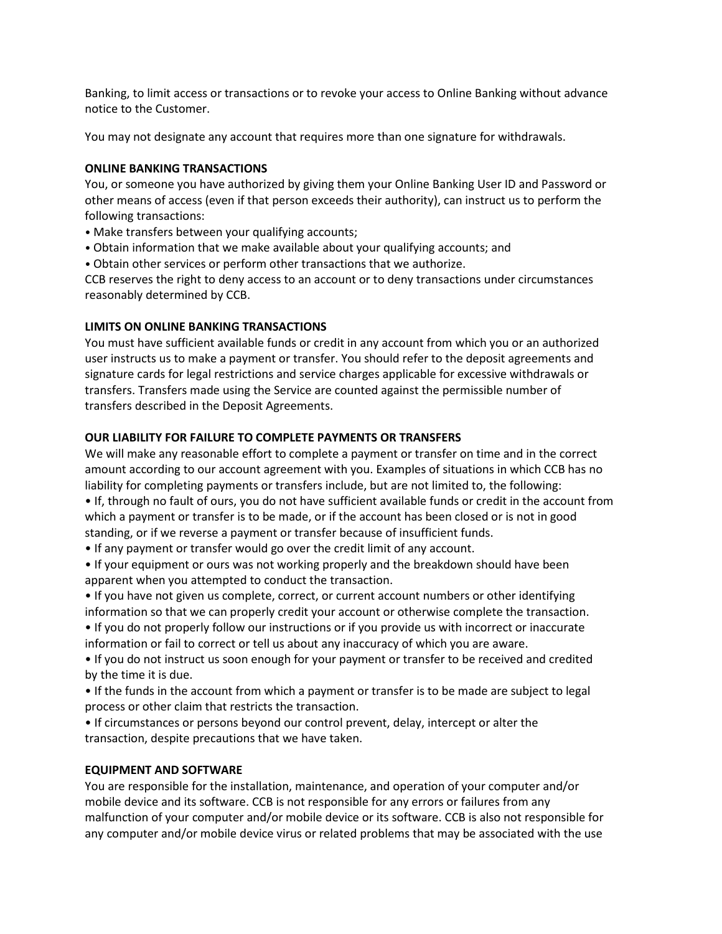Banking, to limit access or transactions or to revoke your access to Online Banking without advance notice to the Customer.

You may not designate any account that requires more than one signature for withdrawals.

#### **ONLINE BANKING TRANSACTIONS**

You, or someone you have authorized by giving them your Online Banking User ID and Password or other means of access (even if that person exceeds their authority), can instruct us to perform the following transactions:

- Make transfers between your qualifying accounts;
- Obtain information that we make available about your qualifying accounts; and
- Obtain other services or perform other transactions that we authorize.

CCB reserves the right to deny access to an account or to deny transactions under circumstances reasonably determined by CCB.

## **LIMITS ON ONLINE BANKING TRANSACTIONS**

You must have sufficient available funds or credit in any account from which you or an authorized user instructs us to make a payment or transfer. You should refer to the deposit agreements and signature cards for legal restrictions and service charges applicable for excessive withdrawals or transfers. Transfers made using the Service are counted against the permissible number of transfers described in the Deposit Agreements.

#### **OUR LIABILITY FOR FAILURE TO COMPLETE PAYMENTS OR TRANSFERS**

We will make any reasonable effort to complete a payment or transfer on time and in the correct amount according to our account agreement with you. Examples of situations in which CCB has no liability for completing payments or transfers include, but are not limited to, the following:

• If, through no fault of ours, you do not have sufficient available funds or credit in the account from which a payment or transfer is to be made, or if the account has been closed or is not in good standing, or if we reverse a payment or transfer because of insufficient funds.

• If any payment or transfer would go over the credit limit of any account.

• If your equipment or ours was not working properly and the breakdown should have been apparent when you attempted to conduct the transaction.

• If you have not given us complete, correct, or current account numbers or other identifying information so that we can properly credit your account or otherwise complete the transaction.

• If you do not properly follow our instructions or if you provide us with incorrect or inaccurate information or fail to correct or tell us about any inaccuracy of which you are aware.

• If you do not instruct us soon enough for your payment or transfer to be received and credited by the time it is due.

• If the funds in the account from which a payment or transfer is to be made are subject to legal process or other claim that restricts the transaction.

• If circumstances or persons beyond our control prevent, delay, intercept or alter the transaction, despite precautions that we have taken.

#### **EQUIPMENT AND SOFTWARE**

You are responsible for the installation, maintenance, and operation of your computer and/or mobile device and its software. CCB is not responsible for any errors or failures from any malfunction of your computer and/or mobile device or its software. CCB is also not responsible for any computer and/or mobile device virus or related problems that may be associated with the use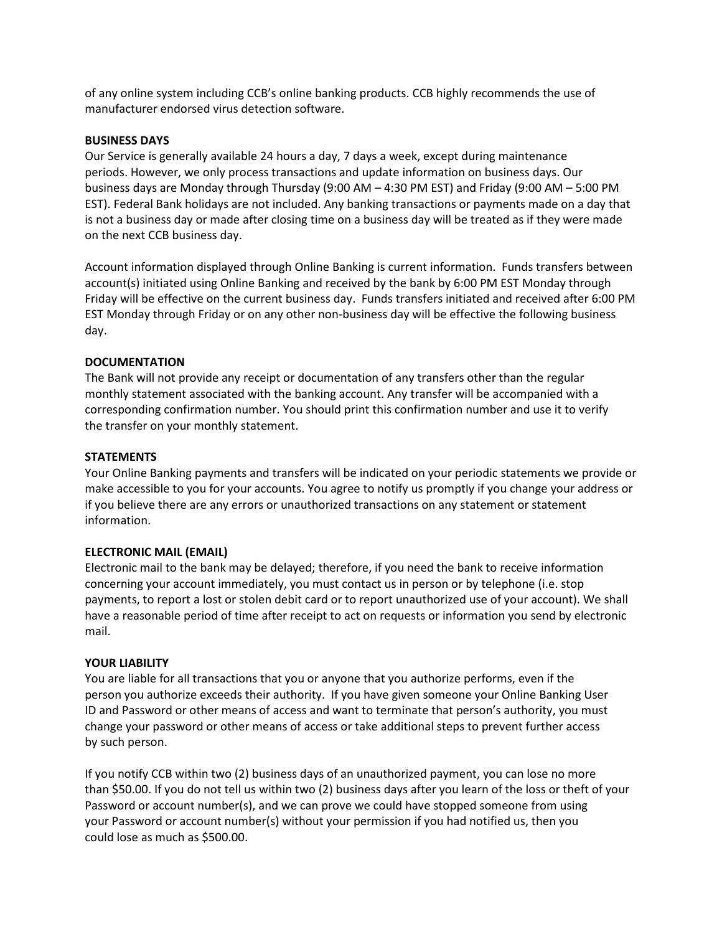of any online system including CCB's online banking products. CCB highly recommends the use of manufacturer endorsed virus detection software.

#### **BUSINESS DAYS**

Our Service is generally available 24 hours a day, 7 days a week, except during maintenance periods. However, we only process transactions and update information on business days. Our business days are Monday through Thursday (9:00 AM – 4:30 PM EST) and Friday (9:00 AM – 5:00 PM EST). Federal Bank holidays are not included. Any banking transactions or payments made on a day that is not a business day or made after closing time on a business day will be treated as if they were made on the next CCB business day.

Account information displayed through Online Banking is current information. Funds transfers between account(s) initiated using Online Banking and received by the bank by 6:00 PM EST Monday through Friday will be effective on the current business day. Funds transfers initiated and received after 6:00 PM EST Monday through Friday or on any other non-business day will be effective the following business day.

## **DOCUMENTATION**

The Bank will not provide any receipt or documentation of any transfers other than the regular monthly statement associated with the banking account. Any transfer will be accompanied with a corresponding confirmation number. You should print this confirmation number and use it to verify the transfer on your monthly statement.

#### **STATEMENTS**

Your Online Banking payments and transfers will be indicated on your periodic statements we provide or make accessible to you for your accounts. You agree to notify us promptly if you change your address or if you believe there are any errors or unauthorized transactions on any statement or statement information.

## **ELECTRONIC MAIL (EMAIL)**

Electronic mail to the bank may be delayed; therefore, if you need the bank to receive information concerning your account immediately, you must contact us in person or by telephone (i.e. stop payments, to report a lost or stolen debit card or to report unauthorized use of your account). We shall have a reasonable period of time after receipt to act on requests or information you send by electronic mail.

## **YOUR LIABILITY**

You are liable for all transactions that you or anyone that you authorize performs, even if the person you authorize exceeds their authority. If you have given someone your Online Banking User ID and Password or other means of access and want to terminate that person's authority, you must change your password or other means of access or take additional steps to prevent further access by such person.

If you notify CCB within two (2) business days of an unauthorized payment, you can lose no more than \$50.00. If you do not tell us within two (2) business days after you learn of the loss or theft of your Password or account number(s), and we can prove we could have stopped someone from using your Password or account number(s) without your permission if you had notified us, then you could lose as much as \$500.00.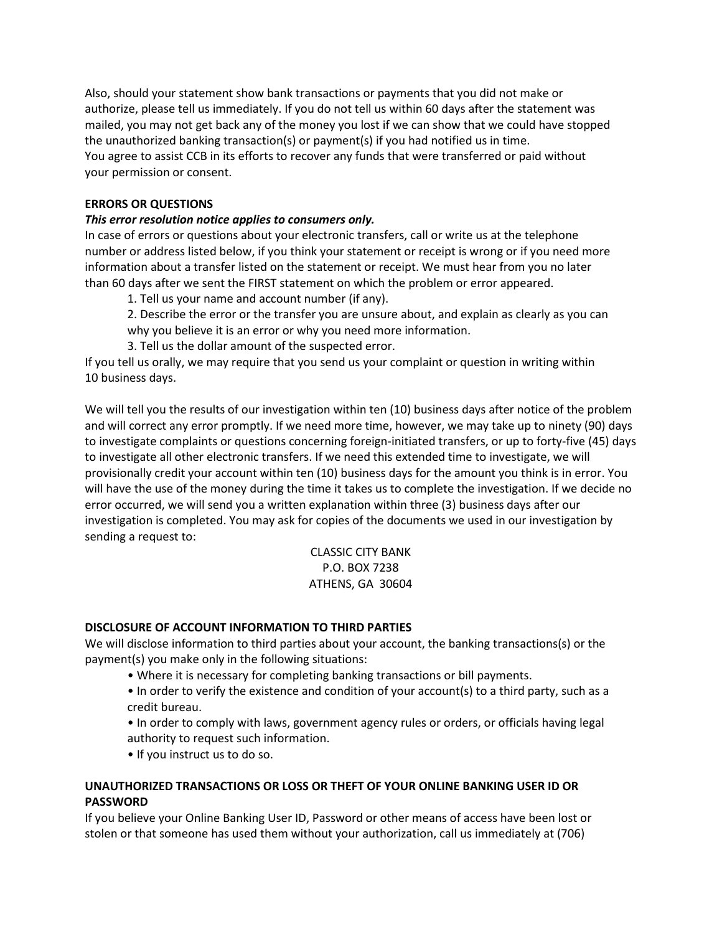Also, should your statement show bank transactions or payments that you did not make or authorize, please tell us immediately. If you do not tell us within 60 days after the statement was mailed, you may not get back any of the money you lost if we can show that we could have stopped the unauthorized banking transaction(s) or payment(s) if you had notified us in time. You agree to assist CCB in its efforts to recover any funds that were transferred or paid without your permission or consent.

## **ERRORS OR QUESTIONS**

## *This error resolution notice applies to consumers only.*

In case of errors or questions about your electronic transfers, call or write us at the telephone number or address listed below, if you think your statement or receipt is wrong or if you need more information about a transfer listed on the statement or receipt. We must hear from you no later than 60 days after we sent the FIRST statement on which the problem or error appeared.

1. Tell us your name and account number (if any).

2. Describe the error or the transfer you are unsure about, and explain as clearly as you can

why you believe it is an error or why you need more information.

3. Tell us the dollar amount of the suspected error.

If you tell us orally, we may require that you send us your complaint or question in writing within 10 business days.

We will tell you the results of our investigation within ten (10) business days after notice of the problem and will correct any error promptly. If we need more time, however, we may take up to ninety (90) days to investigate complaints or questions concerning foreign-initiated transfers, or up to forty-five (45) days to investigate all other electronic transfers. If we need this extended time to investigate, we will provisionally credit your account within ten (10) business days for the amount you think is in error. You will have the use of the money during the time it takes us to complete the investigation. If we decide no error occurred, we will send you a written explanation within three (3) business days after our investigation is completed. You may ask for copies of the documents we used in our investigation by sending a request to:

## CLASSIC CITY BANK P.O. BOX 7238 ATHENS, GA 30604

## **DISCLOSURE OF ACCOUNT INFORMATION TO THIRD PARTIES**

We will disclose information to third parties about your account, the banking transactions(s) or the payment(s) you make only in the following situations:

- Where it is necessary for completing banking transactions or bill payments.
- In order to verify the existence and condition of your account(s) to a third party, such as a credit bureau.
- In order to comply with laws, government agency rules or orders, or officials having legal authority to request such information.
- If you instruct us to do so.

## **UNAUTHORIZED TRANSACTIONS OR LOSS OR THEFT OF YOUR ONLINE BANKING USER ID OR PASSWORD**

If you believe your Online Banking User ID, Password or other means of access have been lost or stolen or that someone has used them without your authorization, call us immediately at (706)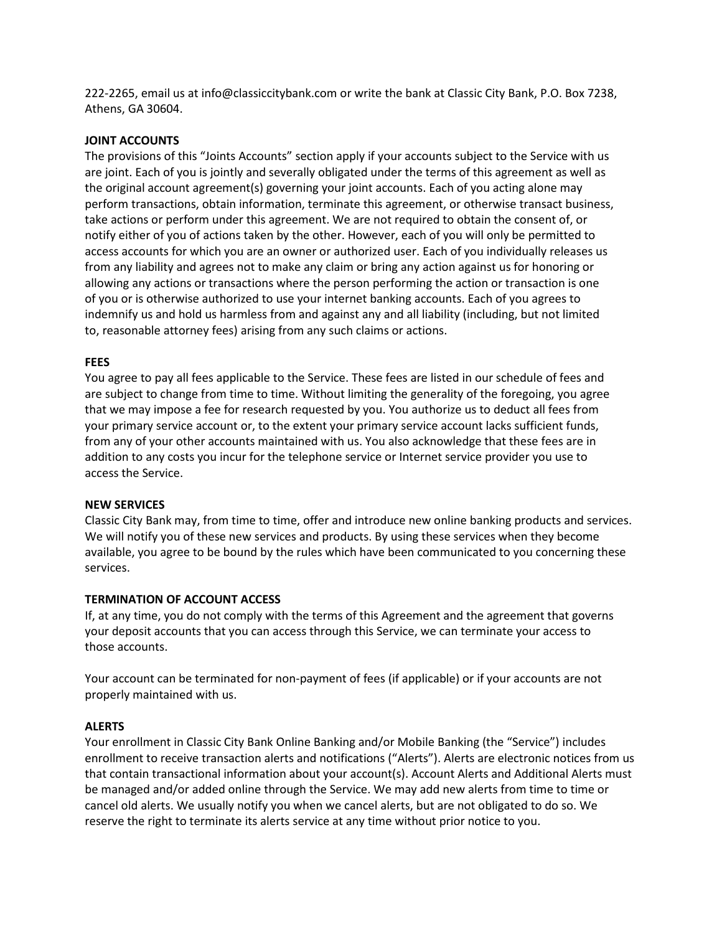222-2265, email us at info@classiccitybank.com or write the bank at Classic City Bank, P.O. Box 7238, Athens, GA 30604.

#### **JOINT ACCOUNTS**

The provisions of this "Joints Accounts" section apply if your accounts subject to the Service with us are joint. Each of you is jointly and severally obligated under the terms of this agreement as well as the original account agreement(s) governing your joint accounts. Each of you acting alone may perform transactions, obtain information, terminate this agreement, or otherwise transact business, take actions or perform under this agreement. We are not required to obtain the consent of, or notify either of you of actions taken by the other. However, each of you will only be permitted to access accounts for which you are an owner or authorized user. Each of you individually releases us from any liability and agrees not to make any claim or bring any action against us for honoring or allowing any actions or transactions where the person performing the action or transaction is one of you or is otherwise authorized to use your internet banking accounts. Each of you agrees to indemnify us and hold us harmless from and against any and all liability (including, but not limited to, reasonable attorney fees) arising from any such claims or actions.

#### **FEES**

You agree to pay all fees applicable to the Service. These fees are listed in our schedule of fees and are subject to change from time to time. Without limiting the generality of the foregoing, you agree that we may impose a fee for research requested by you. You authorize us to deduct all fees from your primary service account or, to the extent your primary service account lacks sufficient funds, from any of your other accounts maintained with us. You also acknowledge that these fees are in addition to any costs you incur for the telephone service or Internet service provider you use to access the Service.

## **NEW SERVICES**

Classic City Bank may, from time to time, offer and introduce new online banking products and services. We will notify you of these new services and products. By using these services when they become available, you agree to be bound by the rules which have been communicated to you concerning these services.

## **TERMINATION OF ACCOUNT ACCESS**

If, at any time, you do not comply with the terms of this Agreement and the agreement that governs your deposit accounts that you can access through this Service, we can terminate your access to those accounts.

Your account can be terminated for non-payment of fees (if applicable) or if your accounts are not properly maintained with us.

## **ALERTS**

Your enrollment in Classic City Bank Online Banking and/or Mobile Banking (the "Service") includes enrollment to receive transaction alerts and notifications ("Alerts"). Alerts are electronic notices from us that contain transactional information about your account(s). Account Alerts and Additional Alerts must be managed and/or added online through the Service. We may add new alerts from time to time or cancel old alerts. We usually notify you when we cancel alerts, but are not obligated to do so. We reserve the right to terminate its alerts service at any time without prior notice to you.